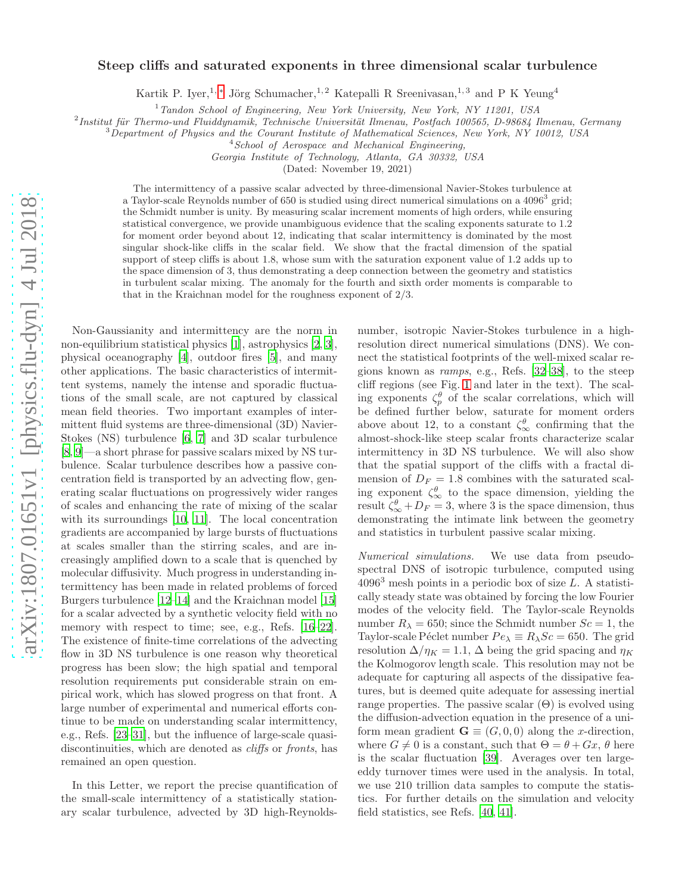## arXiv:1807.01651v1 [physics.flu-dyn] 4 Jul 2018 [arXiv:1807.01651v1 \[physics.flu-dyn\] 4 Jul 2018](http://arxiv.org/abs/1807.01651v1)

## Steep cliffs and saturated exponents in three dimensional scalar turbulence

Kartik P. Iyer,<sup>1,\*</sup> Jörg Schumacher,<sup>1,2</sup> Katepalli R Sreenivasan,<sup>1,3</sup> and P K Yeung<sup>4</sup>

 $1$ Tandon School of Engineering, New York University, New York, NY 11201, USA

<sup>2</sup> Institut für Thermo-und Fluiddynamik, Technische Universität Ilmenau, Postfach 100565, D-98684 Ilmenau, Germany

 $3$ Department of Physics and the Courant Institute of Mathematical Sciences, New York, NY 10012, USA

<sup>4</sup> School of Aerospace and Mechanical Engineering,

Georgia Institute of Technology, Atlanta, GA 30332, USA

(Dated: November 19, 2021)

The intermittency of a passive scalar advected by three-dimensional Navier-Stokes turbulence at a Taylor-scale Reynolds number of 650 is studied using direct numerical simulations on a 4096<sup>3</sup> grid; the Schmidt number is unity. By measuring scalar increment moments of high orders, while ensuring statistical convergence, we provide unambiguous evidence that the scaling exponents saturate to 1.2 for moment order beyond about 12, indicating that scalar intermittency is dominated by the most singular shock-like cliffs in the scalar field. We show that the fractal dimension of the spatial support of steep cliffs is about 1.8, whose sum with the saturation exponent value of 1.2 adds up to the space dimension of 3, thus demonstrating a deep connection between the geometry and statistics in turbulent scalar mixing. The anomaly for the fourth and sixth order moments is comparable to that in the Kraichnan model for the roughness exponent of 2/3.

Non-Gaussianity and intermittency are the norm in non-equilibrium statistical physics [\[1\]](#page-3-1), astrophysics [\[2](#page-3-2), [3\]](#page-3-3), physical oceanography [\[4](#page-3-4)], outdoor fires [\[5](#page-3-5)], and many other applications. The basic characteristics of intermittent systems, namely the intense and sporadic fluctuations of the small scale, are not captured by classical mean field theories. Two important examples of intermittent fluid systems are three-dimensional (3D) Navier-Stokes (NS) turbulence [\[6](#page-3-6), [7](#page-3-7)] and 3D scalar turbulence [\[8,](#page-3-8) [9\]](#page-3-9)—a short phrase for passive scalars mixed by NS turbulence. Scalar turbulence describes how a passive concentration field is transported by an advecting flow, generating scalar fluctuations on progressively wider ranges of scales and enhancing the rate of mixing of the scalar with its surroundings [\[10](#page-3-10), [11](#page-3-11)]. The local concentration gradients are accompanied by large bursts of fluctuations at scales smaller than the stirring scales, and are increasingly amplified down to a scale that is quenched by molecular diffusivity. Much progress in understanding intermittency has been made in related problems of forced Burgers turbulence [\[12](#page-3-12)[–14\]](#page-3-13) and the Kraichnan model [\[15](#page-4-0)] for a scalar advected by a synthetic velocity field with no memory with respect to time; see, e.g., Refs. [\[16](#page-4-1)[–22\]](#page-4-2). The existence of finite-time correlations of the advecting flow in 3D NS turbulence is one reason why theoretical progress has been slow; the high spatial and temporal resolution requirements put considerable strain on empirical work, which has slowed progress on that front. A large number of experimental and numerical efforts continue to be made on understanding scalar intermittency, e.g., Refs. [\[23](#page-4-3)[–31\]](#page-4-4), but the influence of large-scale quasidiscontinuities, which are denoted as *cliffs* or *fronts*, has remained an open question.

In this Letter, we report the precise quantification of the small-scale intermittency of a statistically stationary scalar turbulence, advected by 3D high-Reynoldsnumber, isotropic Navier-Stokes turbulence in a highresolution direct numerical simulations (DNS). We connect the statistical footprints of the well-mixed scalar regions known as ramps, e.g., Refs. [\[32–](#page-4-5)[38\]](#page-4-6), to the steep cliff regions (see Fig. [1](#page-1-0) and later in the text). The scaling exponents  $\zeta_p^{\theta}$  of the scalar correlations, which will be defined further below, saturate for moment orders above about 12, to a constant  $\zeta_{\infty}^{\theta}$  confirming that the almost-shock-like steep scalar fronts characterize scalar intermittency in 3D NS turbulence. We will also show that the spatial support of the cliffs with a fractal dimension of  $D_F = 1.8$  combines with the saturated scaling exponent  $\zeta_{\infty}^{\theta}$  to the space dimension, yielding the result  $\zeta_{\infty}^{\theta} + D_F = 3$ , where 3 is the space dimension, thus demonstrating the intimate link between the geometry and statistics in turbulent passive scalar mixing.

Numerical simulations. We use data from pseudospectral DNS of isotropic turbulence, computed using  $4096<sup>3</sup>$  mesh points in a periodic box of size L. A statistically steady state was obtained by forcing the low Fourier modes of the velocity field. The Taylor-scale Reynolds number  $R_{\lambda} = 650$ ; since the Schmidt number  $Sc = 1$ , the Taylor-scale Péclet number  $Pe_{\lambda} \equiv R_{\lambda}Sc = 650$ . The grid resolution  $\Delta/\eta_K = 1.1$ ,  $\Delta$  being the grid spacing and  $\eta_K$ the Kolmogorov length scale. This resolution may not be adequate for capturing all aspects of the dissipative features, but is deemed quite adequate for assessing inertial range properties. The passive scalar  $(\Theta)$  is evolved using the diffusion-advection equation in the presence of a uniform mean gradient  $\mathbf{G} \equiv (G, 0, 0)$  along the x-direction, where  $G \neq 0$  is a constant, such that  $\Theta = \theta + Gx$ ,  $\theta$  here is the scalar fluctuation [\[39](#page-4-7)]. Averages over ten largeeddy turnover times were used in the analysis. In total, we use 210 trillion data samples to compute the statistics. For further details on the simulation and velocity field statistics, see Refs. [\[40,](#page-4-8) [41\]](#page-4-9).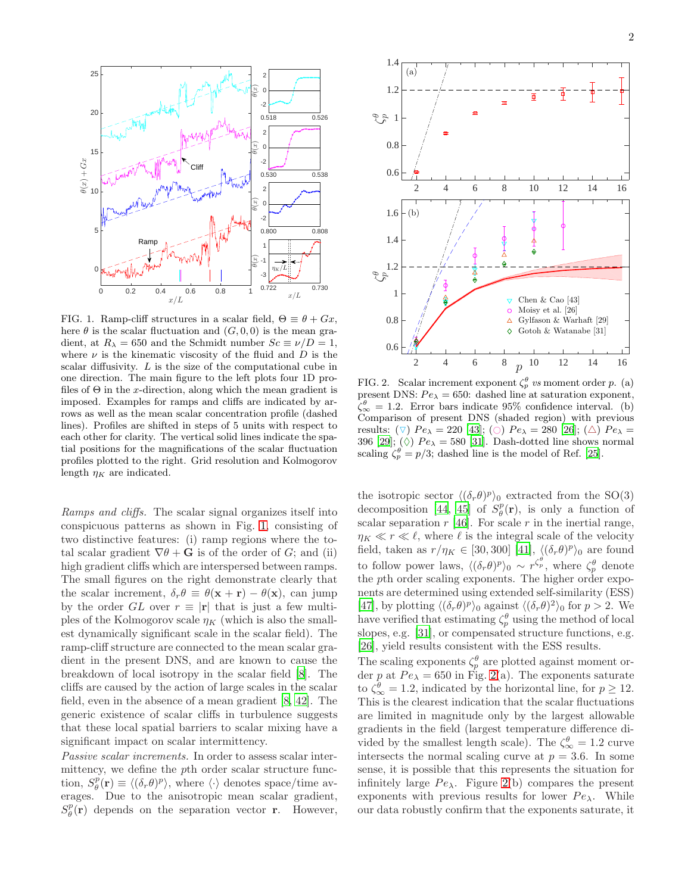

<span id="page-1-0"></span>FIG. 1. Ramp-cliff structures in a scalar field,  $\Theta \equiv \theta + Gx$ , here  $\theta$  is the scalar fluctuation and  $(G, 0, 0)$  is the mean gradient, at  $R_{\lambda} = 650$  and the Schmidt number  $Sc \equiv \nu/D = 1$ , where  $\nu$  is the kinematic viscosity of the fluid and D is the scalar diffusivity. L is the size of the computational cube in one direction. The main figure to the left plots four 1D profiles of  $\Theta$  in the x-direction, along which the mean gradient is imposed. Examples for ramps and cliffs are indicated by arrows as well as the mean scalar concentration profile (dashed lines). Profiles are shifted in steps of 5 units with respect to each other for clarity. The vertical solid lines indicate the spatial positions for the magnifications of the scalar fluctuation profiles plotted to the right. Grid resolution and Kolmogorov length  $\eta_K$  are indicated.

Ramps and cliffs. The scalar signal organizes itself into conspicuous patterns as shown in Fig. [1,](#page-1-0) consisting of two distinctive features: (i) ramp regions where the total scalar gradient  $\nabla \theta + \mathbf{G}$  is of the order of G; and (ii) high gradient cliffs which are interspersed between ramps. The small figures on the right demonstrate clearly that the scalar increment,  $\delta_r \theta \equiv \theta(\mathbf{x} + \mathbf{r}) - \theta(\mathbf{x})$ , can jump by the order GL over  $r \equiv |\mathbf{r}|$  that is just a few multiples of the Kolmogorov scale  $\eta_K$  (which is also the smallest dynamically significant scale in the scalar field). The ramp-cliff structure are connected to the mean scalar gradient in the present DNS, and are known to cause the breakdown of local isotropy in the scalar field [\[8\]](#page-3-8). The cliffs are caused by the action of large scales in the scalar field, even in the absence of a mean gradient [\[8](#page-3-8), [42](#page-4-10)]. The generic existence of scalar cliffs in turbulence suggests that these local spatial barriers to scalar mixing have a significant impact on scalar intermittency.

Passive scalar increments. In order to assess scalar intermittency, we define the pth order scalar structure function,  $S_{\theta}^{p}(\mathbf{r}) \equiv \langle (\delta_r \theta)^p \rangle$ , where  $\langle \cdot \rangle$  denotes space/time averages. Due to the anisotropic mean scalar gradient,  $S_{\theta}^{p}(\mathbf{r})$  depends on the separation vector **r**. However,



<span id="page-1-1"></span>FIG. 2. Scalar increment exponent  $\zeta_p^{\theta}$  vs moment order p. (a) present DNS:  $Pe_{\lambda} = 650$ : dashed line at saturation exponent,  $\zeta_{\infty}^{\theta} = 1.2$ . Error bars indicate 95% confidence interval. (b) Comparison of present DNS (shaded region) with previous results:  $(\nabla)$   $Pe_{\lambda} = 220$  [\[43\]](#page-4-11); ( $\odot$ )  $Pe_{\lambda} = 280$  [\[26\]](#page-4-12); ( $\triangle$ )  $Pe_{\lambda} =$ 396 [\[29\]](#page-4-13);  $\Diamond$  Pe<sub> $\lambda$ </sub> = 580 [\[31\]](#page-4-4). Dash-dotted line shows normal scaling  $\zeta_p^{\theta} = p/3$ ; dashed line is the model of Ref. [\[25](#page-4-14)].

the isotropic sector  $\langle (\delta_r \theta)^p \rangle_0$  extracted from the SO(3) decomposition [\[44](#page-4-15), [45\]](#page-4-16) of  $S^p_{\theta}(\mathbf{r})$ , is only a function of scalar separation  $r$  [\[46\]](#page-4-17). For scale  $r$  in the inertial range,  $\eta_K \ll r \ll \ell$ , where  $\ell$  is the integral scale of the velocity field, taken as  $r/\eta_K \in [30, 300]$  [\[41](#page-4-9)],  $\langle (\delta_r \theta)^p \rangle_0$  are found to follow power laws,  $\langle (\delta_r \theta)^p \rangle_0 \sim r^{\zeta_p^{\theta}}$ , where  $\zeta_p^{\theta}$  denote the pth order scaling exponents. The higher order exponents are determined using extended self-similarity (ESS) [\[47\]](#page-4-18), by plotting  $\langle (\delta_r \theta)^p \rangle_0$  against  $\langle (\delta_r \theta)^2 \rangle_0$  for  $p > 2$ . We have verified that estimating  $\zeta_p^{\theta}$  using the method of local slopes, e.g. [\[31\]](#page-4-4), or compensated structure functions, e.g. [\[26\]](#page-4-12), yield results consistent with the ESS results.

The scaling exponents  $\zeta_p^{\theta}$  are plotted against moment order p at  $Pe_\lambda = 650$  in Fig. [2\(](#page-1-1)a). The exponents saturate to  $\zeta_{\infty}^{\theta} = 1.2$ , indicated by the horizontal line, for  $p \geq 12$ . This is the clearest indication that the scalar fluctuations are limited in magnitude only by the largest allowable gradients in the field (largest temperature difference divided by the smallest length scale). The  $\zeta_{\infty}^{\theta} = 1.2$  curve intersects the normal scaling curve at  $p = 3.6$ . In some sense, it is possible that this represents the situation for infinitely large  $Pe_\lambda$ . Figure [2\(](#page-1-1)b) compares the present exponents with previous results for lower  $Pe_\lambda$ . While our data robustly confirm that the exponents saturate, it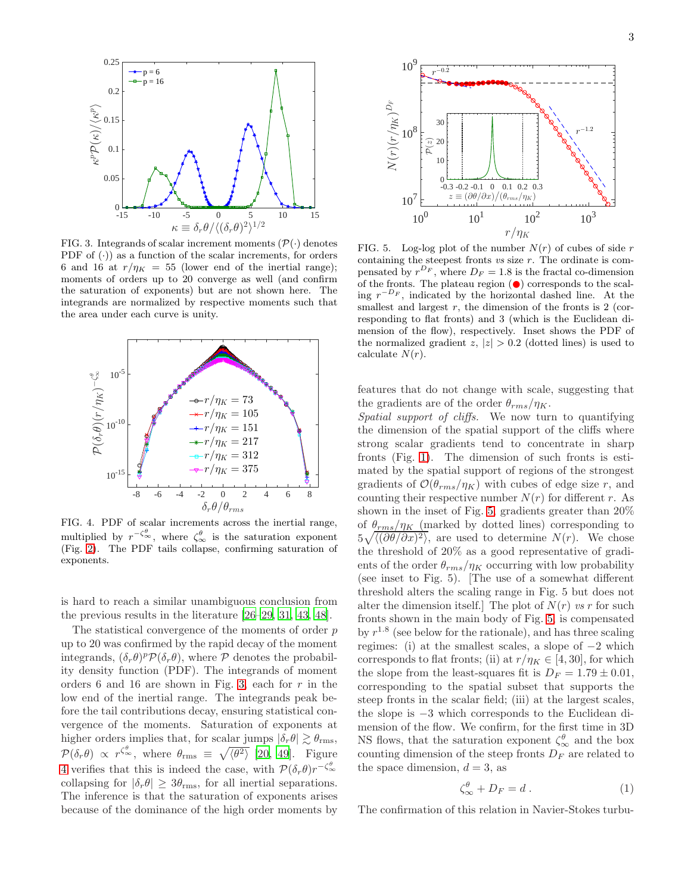

<span id="page-2-0"></span>FIG. 3. Integrands of scalar increment moments  $(\mathcal{P}(\cdot))$  denotes PDF of  $(\cdot)$  as a function of the scalar increments, for orders 6 and 16 at  $r/\eta_K = 55$  (lower end of the inertial range); moments of orders up to 20 converge as well (and confirm the saturation of exponents) but are not shown here. The integrands are normalized by respective moments such that the area under each curve is unity.



<span id="page-2-1"></span>FIG. 4. PDF of scalar increments across the inertial range, multiplied by  $r^{-\zeta_{\infty}^{\theta}}$ , where  $\zeta_{\infty}^{\theta}$  is the saturation exponent (Fig. [2\)](#page-1-1). The PDF tails collapse, confirming saturation of exponents.

is hard to reach a similar unambiguous conclusion from the previous results in the literature [\[26](#page-4-12)[–29,](#page-4-13) [31,](#page-4-4) [43](#page-4-11), [48](#page-4-19)].

The statistical convergence of the moments of order  $p$ up to 20 was confirmed by the rapid decay of the moment integrands,  $(\delta_r \theta)^p \mathcal{P}(\delta_r \theta)$ , where  $\mathcal P$  denotes the probability density function (PDF). The integrands of moment orders 6 and 16 are shown in Fig. [3,](#page-2-0) each for  $r$  in the low end of the inertial range. The integrands peak before the tail contributions decay, ensuring statistical convergence of the moments. Saturation of exponents at higher orders implies that, for scalar jumps  $|\delta_r \theta| \gtrsim \theta_{\text{rms}}$ ,  $\mathcal{P}(\delta_r \theta) \propto r^{\zeta_{\infty}^{\theta}}$ , where  $\theta_{\text{rms}} \equiv \sqrt{\langle \theta^2 \rangle}$  [\[20](#page-4-20), [49](#page-4-21)]. Figure [4](#page-2-1) verifies that this is indeed the case, with  $\mathcal{P}(\delta_r \theta) r^{-\zeta_{\infty}^{\theta}}$ collapsing for  $|\delta_r \theta| \geq 3\theta_{\text{rms}}$ , for all inertial separations. The inference is that the saturation of exponents arises because of the dominance of the high order moments by



<span id="page-2-2"></span>FIG. 5. Log-log plot of the number  $N(r)$  of cubes of side r containing the steepest fronts  $vs$  size  $r$ . The ordinate is compensated by  $r^{D_F}$ , where  $D_F = 1.8$  is the fractal co-dimension of the fronts. The plateau region  $\left( \bullet \right)$  corresponds to the scaling  $r^{-D_F}$ , indicated by the horizontal dashed line. At the smallest and largest  $r$ , the dimension of the fronts is 2 (corresponding to flat fronts) and 3 (which is the Euclidean dimension of the flow), respectively. Inset shows the PDF of the normalized gradient z,  $|z| > 0.2$  (dotted lines) is used to calculate  $N(r)$ .

features that do not change with scale, suggesting that the gradients are of the order  $\theta_{rms}/\eta_K$ .

Spatial support of cliffs. We now turn to quantifying the dimension of the spatial support of the cliffs where strong scalar gradients tend to concentrate in sharp fronts (Fig. [1\)](#page-1-0). The dimension of such fronts is estimated by the spatial support of regions of the strongest gradients of  $\mathcal{O}(\theta_{rms}/\eta_K)$  with cubes of edge size r, and counting their respective number  $N(r)$  for different r. As shown in the inset of Fig. [5,](#page-2-2) gradients greater than 20% of  $\theta_{rms}/\eta_K$  (marked by dotted lines) corresponding to  $5\sqrt{\langle(\partial\theta/\partial x)^2\rangle}$ , are used to determine  $N(r)$ . We chose the threshold of 20% as a good representative of gradients of the order  $\theta_{rms}/\eta_K$  occurring with low probability (see inset to Fig. 5). [The use of a somewhat different threshold alters the scaling range in Fig. 5 but does not alter the dimension itself. The plot of  $N(r)$  vs r for such fronts shown in the main body of Fig. [5,](#page-2-2) is compensated by  $r^{1.8}$  (see below for the rationale), and has three scaling regimes: (i) at the smallest scales, a slope of  $-2$  which corresponds to flat fronts; (ii) at  $r/\eta_K \in [4, 30]$ , for which the slope from the least-squares fit is  $D_F = 1.79 \pm 0.01$ , corresponding to the spatial subset that supports the steep fronts in the scalar field; (iii) at the largest scales, the slope is −3 which corresponds to the Euclidean dimension of the flow. We confirm, for the first time in 3D NS flows, that the saturation exponent  $\zeta_{\infty}^{\theta}$  and the box counting dimension of the steep fronts  $D_F$  are related to the space dimension,  $d = 3$ , as

$$
\zeta_{\infty}^{\theta} + D_F = d \ . \tag{1}
$$

The confirmation of this relation in Navier-Stokes turbu-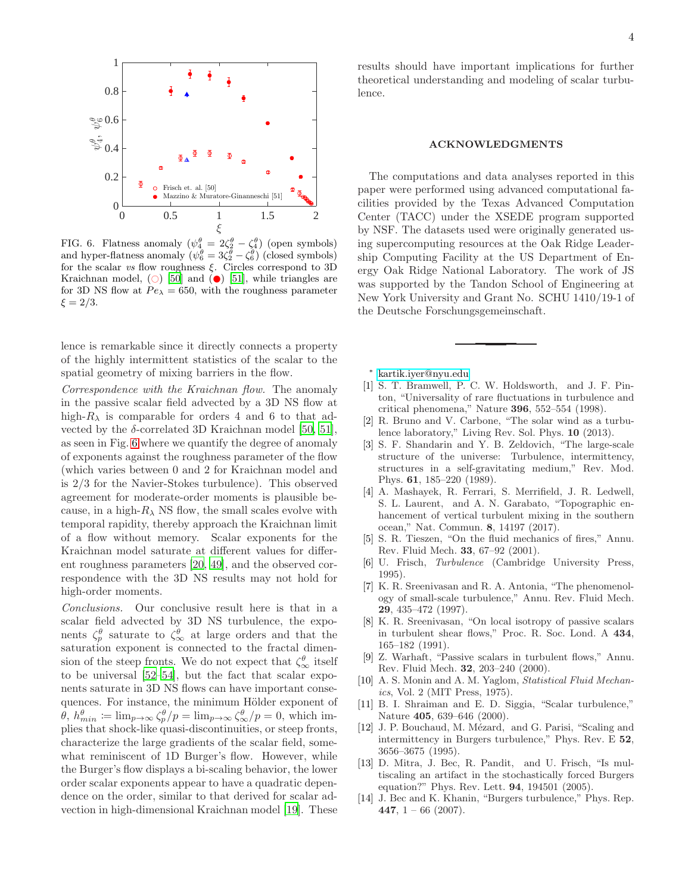

<span id="page-3-14"></span>FIG. 6. Flatness anomaly  $(\psi_4^{\theta} = 2\zeta_2^{\theta} - \zeta_4^{\theta})$  (open symbols) and hyper-flatness anomaly  $(\psi_6^{\theta} = 3\zeta_2^{\theta} - \zeta_6^{\theta})$  (closed symbols) for the scalar vs flow roughness  $\xi$ . Circles correspond to 3D Kraichnan model,  $\circlearrowright$  [\[50](#page-4-22)] and  $\circlearrowright$  [\[51\]](#page-4-23), while triangles are for 3D NS flow at  $Pe_\lambda = 650$ , with the roughness parameter  $\xi = 2/3$ .

lence is remarkable since it directly connects a property of the highly intermittent statistics of the scalar to the spatial geometry of mixing barriers in the flow.

Correspondence with the Kraichnan flow. The anomaly in the passive scalar field advected by a 3D NS flow at high- $R_{\lambda}$  is comparable for orders 4 and 6 to that advected by the  $\delta$ -correlated 3D Kraichnan model [\[50,](#page-4-22) [51\]](#page-4-23), as seen in Fig. [6](#page-3-14) where we quantify the degree of anomaly of exponents against the roughness parameter of the flow (which varies between 0 and 2 for Kraichnan model and is 2/3 for the Navier-Stokes turbulence). This observed agreement for moderate-order moments is plausible because, in a high- $R_{\lambda}$  NS flow, the small scales evolve with temporal rapidity, thereby approach the Kraichnan limit of a flow without memory. Scalar exponents for the Kraichnan model saturate at different values for different roughness parameters [\[20,](#page-4-20) [49\]](#page-4-21), and the observed correspondence with the 3D NS results may not hold for high-order moments.

Conclusions. Our conclusive result here is that in a scalar field advected by 3D NS turbulence, the exponents  $\zeta_p^{\theta}$  saturate to  $\zeta_{\infty}^{\theta}$  at large orders and that the saturation exponent is connected to the fractal dimension of the steep fronts. We do not expect that  $\zeta^{\theta}_{\infty}$  itself to be universal [\[52–](#page-4-24)[54\]](#page-4-25), but the fact that scalar exponents saturate in 3D NS flows can have important consequences. For instance, the minimum Hölder exponent of  $\theta$ ,  $h_{min}^{\theta} := \lim_{p \to \infty} \zeta_p^{\theta}/p = \lim_{p \to \infty} \zeta_{\infty}^{\theta}/p = 0$ , which implies that shock-like quasi-discontinuities, or steep fronts, characterize the large gradients of the scalar field, somewhat reminiscent of 1D Burger's flow. However, while the Burger's flow displays a bi-scaling behavior, the lower order scalar exponents appear to have a quadratic dependence on the order, similar to that derived for scalar advection in high-dimensional Kraichnan model [\[19\]](#page-4-26). These results should have important implications for further theoretical understanding and modeling of scalar turbulence.

## ACKNOWLEDGMENTS

The computations and data analyses reported in this paper were performed using advanced computational facilities provided by the Texas Advanced Computation Center (TACC) under the XSEDE program supported by NSF. The datasets used were originally generated using supercomputing resources at the Oak Ridge Leadership Computing Facility at the US Department of Energy Oak Ridge National Laboratory. The work of JS was supported by the Tandon School of Engineering at New York University and Grant No. SCHU 1410/19-1 of the Deutsche Forschungsgemeinschaft.

∗ [kartik.iyer@nyu.edu](mailto:kartik.iyer@nyu.edu)

- <span id="page-3-1"></span><span id="page-3-0"></span>[1] S. T. Bramwell, P. C. W. Holdsworth, and J. F. Pinton, "Universality of rare fluctuations in turbulence and critical phenomena," Nature 396, 552–554 (1998).
- <span id="page-3-2"></span>[2] R. Bruno and V. Carbone, "The solar wind as a turbulence laboratory," Living Rev. Sol. Phys. 10 (2013).
- <span id="page-3-3"></span>[3] S. F. Shandarin and Y. B. Zeldovich, "The large-scale structure of the universe: Turbulence, intermittency, structures in a self-gravitating medium," Rev. Mod. Phys. 61, 185–220 (1989).
- <span id="page-3-4"></span>[4] A. Mashayek, R. Ferrari, S. Merrifield, J. R. Ledwell, S. L. Laurent, and A. N. Garabato, "Topographic enhancement of vertical turbulent mixing in the southern ocean," Nat. Commun. 8, 14197 (2017).
- <span id="page-3-5"></span>[5] S. R. Tieszen, "On the fluid mechanics of fires," Annu. Rev. Fluid Mech. 33, 67–92 (2001).
- <span id="page-3-6"></span>[6] U. Frisch, Turbulence (Cambridge University Press, 1995).
- <span id="page-3-7"></span>[7] K. R. Sreenivasan and R. A. Antonia, "The phenomenology of small-scale turbulence," Annu. Rev. Fluid Mech. 29, 435–472 (1997).
- <span id="page-3-8"></span>[8] K. R. Sreenivasan, "On local isotropy of passive scalars in turbulent shear flows," Proc. R. Soc. Lond. A 434, 165–182 (1991).
- <span id="page-3-9"></span>[9] Z. Warhaft, "Passive scalars in turbulent flows," Annu. Rev. Fluid Mech. 32, 203–240 (2000).
- <span id="page-3-10"></span>[10] A. S. Monin and A. M. Yaglom, *Statistical Fluid Mechan*ics, Vol. 2 (MIT Press, 1975).
- <span id="page-3-11"></span>[11] B. I. Shraiman and E. D. Siggia, "Scalar turbulence," Nature 405, 639–646 (2000).
- <span id="page-3-12"></span>[12] J. P. Bouchaud, M. Mézard, and G. Parisi, "Scaling and intermittency in Burgers turbulence," Phys. Rev. E 52, 3656–3675 (1995).
- [13] D. Mitra, J. Bec, R. Pandit, and U. Frisch, "Is multiscaling an artifact in the stochastically forced Burgers equation?" Phys. Rev. Lett. 94, 194501 (2005).
- <span id="page-3-13"></span>[14] J. Bec and K. Khanin, "Burgers turbulence," Phys. Rep. 447,  $1 - 66$  (2007).